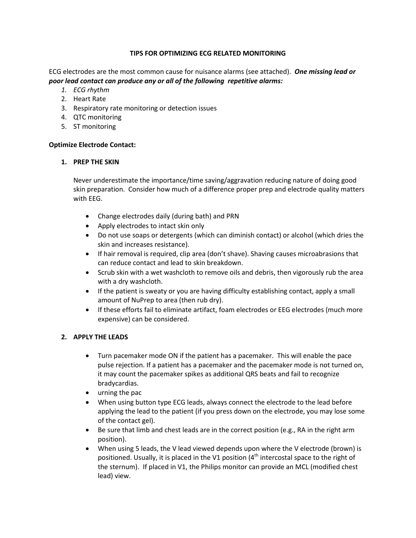## **TIPS FOR OPTIMIZING ECG RELATED MONITORING**

ECG electrodes are the most common cause for nuisance alarms (see attached). *One missing lead or poor lead contact can produce any or all of the following repetitive alarms:*

- *1. ECG rhythm*
- 2. Heart Rate
- 3. Respiratory rate monitoring or detection issues
- 4. QTC monitoring
- 5. ST monitoring

### **Optimize Electrode Contact:**

### **1. PREP THE SKIN**

Never underestimate the importance/time saving/aggravation reducing nature of doing good skin preparation. Consider how much of a difference proper prep and electrode quality matters with EEG.

- Change electrodes daily (during bath) and PRN
- Apply electrodes to intact skin only
- Do not use soaps or detergents (which can diminish contact) or alcohol (which dries the skin and increases resistance).
- If hair removal is required, clip area (don't shave). Shaving causes microabrasions that can reduce contact and lead to skin breakdown.
- Scrub skin with a wet washcloth to remove oils and debris, then vigorously rub the area with a dry washcloth.
- If the patient is sweaty or you are having difficulty establishing contact, apply a small amount of NuPrep to area (then rub dry).
- If these efforts fail to eliminate artifact, foam electrodes or EEG electrodes (much more expensive) can be considered.

### **2. APPLY THE LEADS**

- Turn pacemaker mode ON if the patient has a pacemaker. This will enable the pace pulse rejection. If a patient has a pacemaker and the pacemaker mode is not turned on, it may count the pacemaker spikes as additional QRS beats and fail to recognize bradycardias.
- urning the pac
- When using button type ECG leads, always connect the electrode to the lead before applying the lead to the patient (if you press down on the electrode, you may lose some of the contact gel).
- Be sure that limb and chest leads are in the correct position (e.g., RA in the right arm position).
- When using 5 leads, the V lead viewed depends upon where the V electrode (brown) is positioned. Usually, it is placed in the V1 position  $(4<sup>th</sup>$  intercostal space to the right of the sternum). If placed in V1, the Philips monitor can provide an MCL (modified chest lead) view.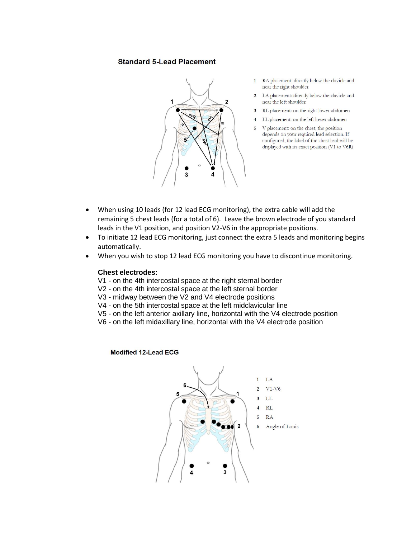## **Standard 5-Lead Placement**



- 1 RA placement: directly below the clavicle and near the right shoulder
- LA placement: directly below the clavicle and  $\overline{c}$ near the left shoulder
- 3 RL placement: on the right lower abdomen
- LL placement: on the left lower abdomen
- V placement: on the chest, the position 5 depends on your required lead selection. If configured, the label of the chest lead will be displayed with its exact position (V1 to V6R)

- When using 10 leads (for 12 lead ECG monitoring), the extra cable will add the remaining 5 chest leads (for a total of 6). Leave the brown electrode of you standard leads in the V1 position, and position V2-V6 in the appropriate positions.
- To initiate 12 lead ECG monitoring, just connect the extra 5 leads and monitoring begins automatically.
- When you wish to stop 12 lead ECG monitoring you have to discontinue monitoring.

#### **Chest electrodes:**

- V1 on the 4th intercostal space at the right sternal border
- V2 on the 4th intercostal space at the left sternal border
- V3 midway between the V2 and V4 electrode positions
- V4 on the 5th intercostal space at the left midclavicular line
- V5 on the left anterior axillary line, horizontal with the V4 electrode position
- V6 on the left midaxillary line, horizontal with the V4 electrode position

#### **Modified 12-Lead ECG**

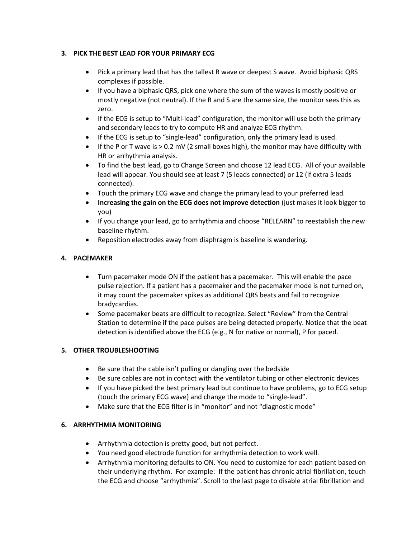## **3. PICK THE BEST LEAD FOR YOUR PRIMARY ECG**

- Pick a primary lead that has the tallest R wave or deepest S wave. Avoid biphasic QRS complexes if possible.
- If you have a biphasic QRS, pick one where the sum of the waves is mostly positive or mostly negative (not neutral). If the R and S are the same size, the monitor sees this as zero.
- If the ECG is setup to "Multi-lead" configuration, the monitor will use both the primary and secondary leads to try to compute HR and analyze ECG rhythm.
- If the ECG is setup to "single-lead" configuration, only the primary lead is used.
- If the P or T wave is  $> 0.2$  mV (2 small boxes high), the monitor may have difficulty with HR or arrhythmia analysis.
- To find the best lead, go to Change Screen and choose 12 lead ECG. All of your available lead will appear. You should see at least 7 (5 leads connected) or 12 (if extra 5 leads connected).
- Touch the primary ECG wave and change the primary lead to your preferred lead.
- **Increasing the gain on the ECG does not improve detection** (just makes it look bigger to you)
- If you change your lead, go to arrhythmia and choose "RELEARN" to reestablish the new baseline rhythm.
- Reposition electrodes away from diaphragm is baseline is wandering.

## **4. PACEMAKER**

- Turn pacemaker mode ON if the patient has a pacemaker. This will enable the pace pulse rejection. If a patient has a pacemaker and the pacemaker mode is not turned on, it may count the pacemaker spikes as additional QRS beats and fail to recognize bradycardias.
- Some pacemaker beats are difficult to recognize. Select "Review" from the Central Station to determine if the pace pulses are being detected properly. Notice that the beat detection is identified above the ECG (e.g., N for native or normal), P for paced.

## **5. OTHER TROUBLESHOOTING**

- Be sure that the cable isn't pulling or dangling over the bedside
- Be sure cables are not in contact with the ventilator tubing or other electronic devices
- If you have picked the best primary lead but continue to have problems, go to ECG setup (touch the primary ECG wave) and change the mode to "single-lead".
- Make sure that the ECG filter is in "monitor" and not "diagnostic mode"

## **6. ARRHYTHMIA MONITORING**

- Arrhythmia detection is pretty good, but not perfect.
- You need good electrode function for arrhythmia detection to work well.
- Arrhythmia monitoring defaults to ON. You need to customize for each patient based on their underlying rhythm. For example: If the patient has chronic atrial fibrillation, touch the ECG and choose "arrhythmia". Scroll to the last page to disable atrial fibrillation and